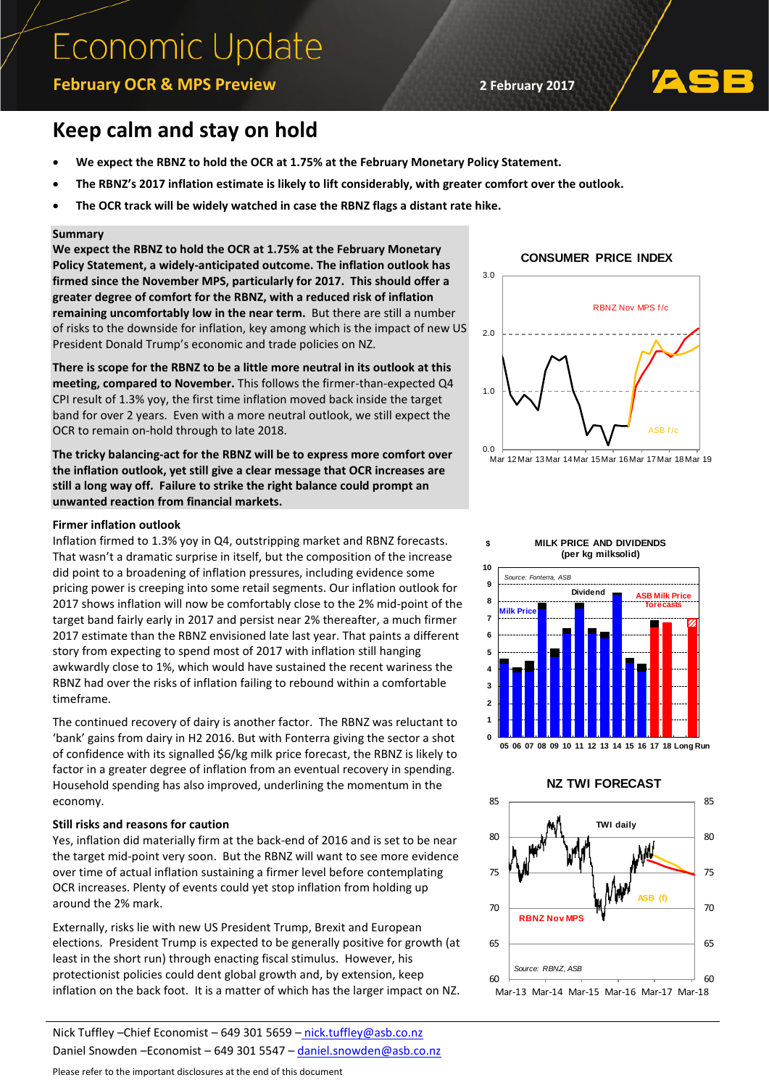# **Economic Update**

### **February OCR & MPS Preview 2 February 2017**

## **Keep calm and stay on hold**

- **We expect the RBNZ to hold the OCR at 1.75% at the February Monetary Policy Statement.**
- **The RBNZ's 2017 inflation estimate is likely to lift considerably, with greater comfort over the outlook.**
- **The OCR track will be widely watched in case the RBNZ flags a distant rate hike.**

#### **Summary**

**We expect the RBNZ to hold the OCR at 1.75% at the February Monetary Policy Statement, a widely-anticipated outcome. The inflation outlook has firmed since the November MPS, particularly for 2017. This should offer a greater degree of comfort for the RBNZ, with a reduced risk of inflation remaining uncomfortably low in the near term.** But there are still a number of risks to the downside for inflation, key among which is the impact of new US President Donald Trump's economic and trade policies on NZ.

**There is scope for the RBNZ to be a little more neutral in its outlook at this meeting, compared to November.** This follows the firmer-than-expected Q4 CPI result of 1.3% yoy, the first time inflation moved back inside the target band for over 2 years. Even with a more neutral outlook, we still expect the OCR to remain on-hold through to late 2018.

**The tricky balancing-act for the RBNZ will be to express more comfort over the inflation outlook, yet still give a clear message that OCR increases are still a long way off. Failure to strike the right balance could prompt an unwanted reaction from financial markets.** 

#### **Firmer inflation outlook**

Inflation firmed to 1.3% yoy in Q4, outstripping market and RBNZ forecasts. That wasn't a dramatic surprise in itself, but the composition of the increase did point to a broadening of inflation pressures, including evidence some pricing power is creeping into some retail segments. Our inflation outlook for 2017 shows inflation will now be comfortably close to the 2% mid-point of the target band fairly early in 2017 and persist near 2% thereafter, a much firmer 2017 estimate than the RBNZ envisioned late last year. That paints a different story from expecting to spend most of 2017 with inflation still hanging awkwardly close to 1%, which would have sustained the recent wariness the RBNZ had over the risks of inflation failing to rebound within a comfortable timeframe.

The continued recovery of dairy is another factor. The RBNZ was reluctant to 'bank' gains from dairy in H2 2016. But with Fonterra giving the sector a shot of confidence with its signalled \$6/kg milk price forecast, the RBNZ is likely to factor in a greater degree of inflation from an eventual recovery in spending. Household spending has also improved, underlining the momentum in the economy.

#### **Still risks and reasons for caution**

Yes, inflation did materially firm at the back-end of 2016 and is set to be near the target mid-point very soon. But the RBNZ will want to see more evidence over time of actual inflation sustaining a firmer level before contemplating OCR increases. Plenty of events could yet stop inflation from holding up around the 2% mark.

Externally, risks lie with new US President Trump, Brexit and European elections. President Trump is expected to be generally positive for growth (at least in the short run) through enacting fiscal stimulus. However, his protectionist policies could dent global growth and, by extension, keep inflation on the back foot. It is a matter of which has the larger impact on NZ.

Nick Tuffley –Chief Economist – 649 301 5659 – [nick.tuffley@asb.co.nz](mailto:nick.tuffley@asb.co.nz) Daniel Snowden –Economist – 649 301 5547 – daniel.snowden@asb.co.nz

Please refer to the important disclosures at the end of this document





Mar 12Mar 13Mar 14Mar 15Mar 16Mar 17Mar 18Mar 19





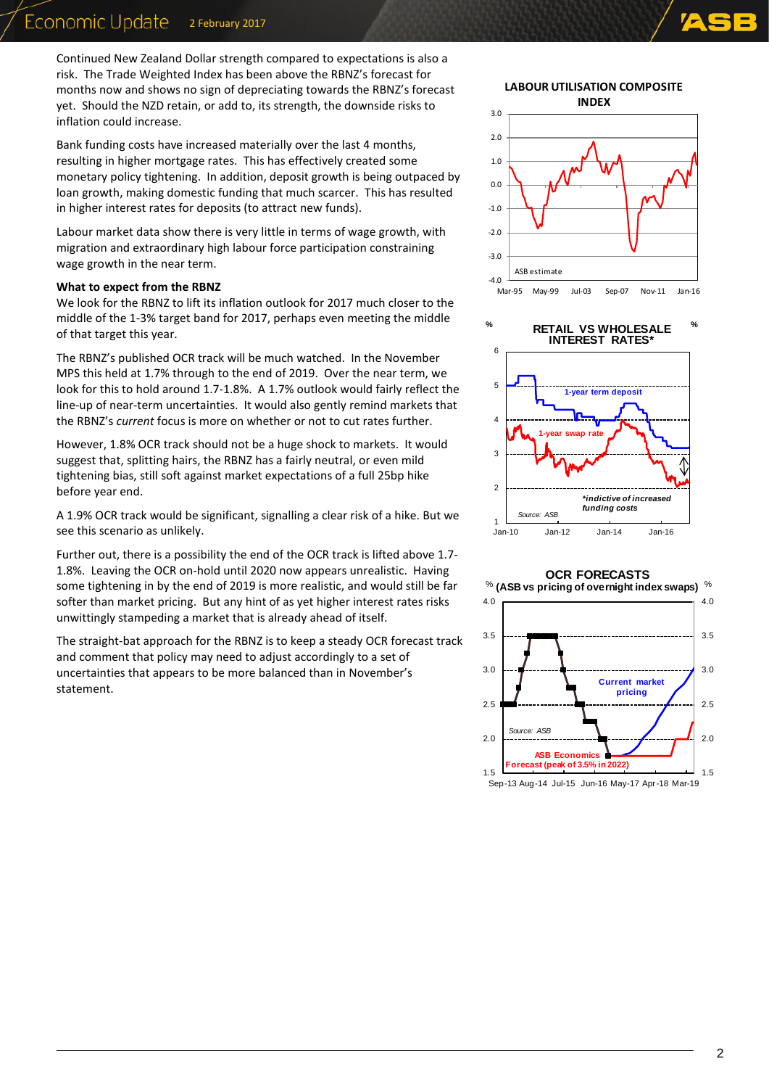Continued New Zealand Dollar strength compared to expectations is also a risk. The Trade Weighted Index has been above the RBNZ's forecast for months now and shows no sign of depreciating towards the RBNZ's forecast yet. Should the NZD retain, or add to, its strength, the downside risks to inflation could increase.

Bank funding costs have increased materially over the last 4 months, resulting in higher mortgage rates. This has effectively created some monetary policy tightening. In addition, deposit growth is being outpaced by loan growth, making domestic funding that much scarcer. This has resulted in higher interest rates for deposits (to attract new funds).

Labour market data show there is very little in terms of wage growth, with migration and extraordinary high labour force participation constraining wage growth in the near term.

#### **What to expect from the RBNZ**

We look for the RBNZ to lift its inflation outlook for 2017 much closer to the middle of the 1-3% target band for 2017, perhaps even meeting the middle of that target this year.

The RBNZ's published OCR track will be much watched. In the November MPS this held at 1.7% through to the end of 2019. Over the near term, we look for this to hold around 1.7-1.8%. A 1.7% outlook would fairly reflect the line-up of near-term uncertainties. It would also gently remind markets that the RBNZ's *current* focus is more on whether or not to cut rates further.

However, 1.8% OCR track should not be a huge shock to markets. It would suggest that, splitting hairs, the RBNZ has a fairly neutral, or even mild tightening bias, still soft against market expectations of a full 25bp hike before year end.

A 1.9% OCR track would be significant, signalling a clear risk of a hike. But we see this scenario as unlikely.

Further out, there is a possibility the end of the OCR track is lifted above 1.7- 1.8%. Leaving the OCR on-hold until 2020 now appears unrealistic. Having some tightening in by the end of 2019 is more realistic, and would still be far softer than market pricing. But any hint of as yet higher interest rates risks unwittingly stampeding a market that is already ahead of itself.

The straight-bat approach for the RBNZ is to keep a steady OCR forecast track and comment that policy may need to adjust accordingly to a set of uncertainties that appears to be more balanced than in November's statement.

**LABOUR UTILISATION COMPOSITE INDEX**